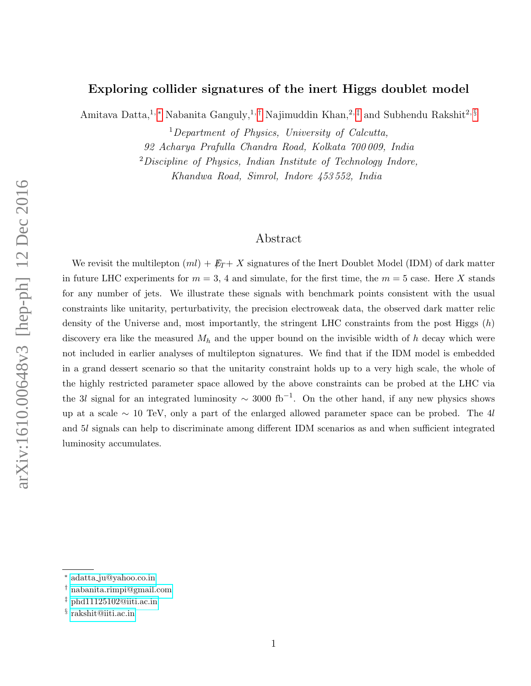# Exploring collider signatures of the inert Higgs doublet model

Amitava Datta,<sup>1,\*</sup> Nabanita Ganguly,<sup>1,[†](#page-0-1)</sup> Najimuddin Khan,<sup>2,[‡](#page-0-2)</sup> and Subhendu Rakshit<sup>2, [§](#page-0-3)</sup>

 $1$ Department of Physics, University of Calcutta, 92 Acharya Prafulla Chandra Road, Kolkata 700 009, India  $2$ Discipline of Physics, Indian Institute of Technology Indore,

Khandwa Road, Simrol, Indore 453 552, India

## Abstract

We revisit the multilepton  $(ml) + E_T + X$  signatures of the Inert Doublet Model (IDM) of dark matter in future LHC experiments for  $m = 3$ , 4 and simulate, for the first time, the  $m = 5$  case. Here X stands for any number of jets. We illustrate these signals with benchmark points consistent with the usual constraints like unitarity, perturbativity, the precision electroweak data, the observed dark matter relic density of the Universe and, most importantly, the stringent LHC constraints from the post Higgs  $(h)$ discovery era like the measured  $M_h$  and the upper bound on the invisible width of h decay which were not included in earlier analyses of multilepton signatures. We find that if the IDM model is embedded in a grand dessert scenario so that the unitarity constraint holds up to a very high scale, the whole of the highly restricted parameter space allowed by the above constraints can be probed at the LHC via the 3l signal for an integrated luminosity  $\sim 3000$  fb<sup>-1</sup>. On the other hand, if any new physics shows up at a scale  $\sim$  10 TeV, only a part of the enlarged allowed parameter space can be probed. The 4l and 5l signals can help to discriminate among different IDM scenarios as and when sufficient integrated luminosity accumulates.

<span id="page-0-1"></span><span id="page-0-0"></span><sup>∗</sup> adatta [ju@yahoo.co.in](mailto:adatta{_}ju@yahoo.co.in)

<span id="page-0-2"></span><sup>†</sup> [nabanita.rimpi@gmail.com](mailto:nabanita.rimpi@gmail.com)

<span id="page-0-3"></span> $\ddagger$  [phd11125102@iiti.ac.in](mailto:phd11125102@iiti.ac.in)

<sup>§</sup> [rakshit@iiti.ac.in](mailto:rakshit@iiti.ac.in)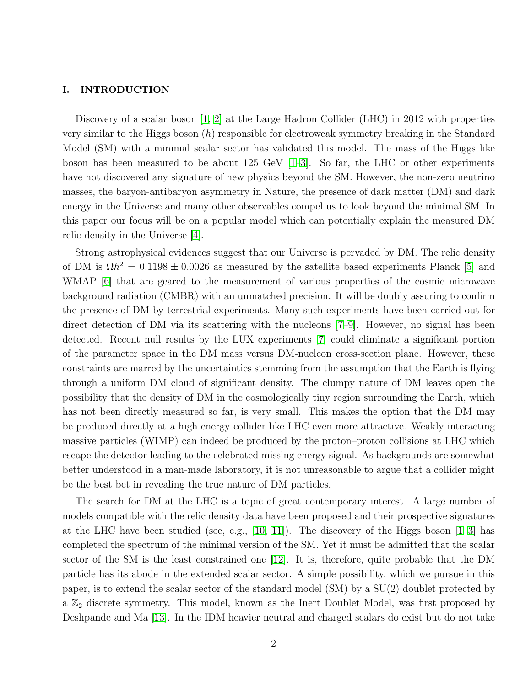#### I. INTRODUCTION

Discovery of a scalar boson [\[1,](#page-18-0) [2\]](#page-18-1) at the Large Hadron Collider (LHC) in 2012 with properties very similar to the Higgs boson  $(h)$  responsible for electroweak symmetry breaking in the Standard Model (SM) with a minimal scalar sector has validated this model. The mass of the Higgs like boson has been measured to be about 125 GeV [\[1–](#page-18-0)[3\]](#page-18-2). So far, the LHC or other experiments have not discovered any signature of new physics beyond the SM. However, the non-zero neutrino masses, the baryon-antibaryon asymmetry in Nature, the presence of dark matter (DM) and dark energy in the Universe and many other observables compel us to look beyond the minimal SM. In this paper our focus will be on a popular model which can potentially explain the measured DM relic density in the Universe [\[4\]](#page-18-3).

Strong astrophysical evidences suggest that our Universe is pervaded by DM. The relic density of DM is  $\Omega h^2 = 0.1198 \pm 0.0026$  as measured by the satellite based experiments Planck [\[5\]](#page-18-4) and WMAP [\[6\]](#page-18-5) that are geared to the measurement of various properties of the cosmic microwave background radiation (CMBR) with an unmatched precision. It will be doubly assuring to confirm the presence of DM by terrestrial experiments. Many such experiments have been carried out for direct detection of DM via its scattering with the nucleons [\[7–](#page-18-6)[9\]](#page-18-7). However, no signal has been detected. Recent null results by the LUX experiments [\[7\]](#page-18-6) could eliminate a significant portion of the parameter space in the DM mass versus DM-nucleon cross-section plane. However, these constraints are marred by the uncertainties stemming from the assumption that the Earth is flying through a uniform DM cloud of significant density. The clumpy nature of DM leaves open the possibility that the density of DM in the cosmologically tiny region surrounding the Earth, which has not been directly measured so far, is very small. This makes the option that the DM may be produced directly at a high energy collider like LHC even more attractive. Weakly interacting massive particles (WIMP) can indeed be produced by the proton–proton collisions at LHC which escape the detector leading to the celebrated missing energy signal. As backgrounds are somewhat better understood in a man-made laboratory, it is not unreasonable to argue that a collider might be the best bet in revealing the true nature of DM particles.

The search for DM at the LHC is a topic of great contemporary interest. A large number of models compatible with the relic density data have been proposed and their prospective signatures at the LHC have been studied (see, e.g., [\[10,](#page-18-8) [11\]](#page-18-9)). The discovery of the Higgs boson  $[1-3]$  $[1-3]$  has completed the spectrum of the minimal version of the SM. Yet it must be admitted that the scalar sector of the SM is the least constrained one [\[12\]](#page-18-10). It is, therefore, quite probable that the DM particle has its abode in the extended scalar sector. A simple possibility, which we pursue in this paper, is to extend the scalar sector of the standard model (SM) by a SU(2) doublet protected by a  $\mathbb{Z}_2$  discrete symmetry. This model, known as the Inert Doublet Model, was first proposed by Deshpande and Ma [\[13\]](#page-18-11). In the IDM heavier neutral and charged scalars do exist but do not take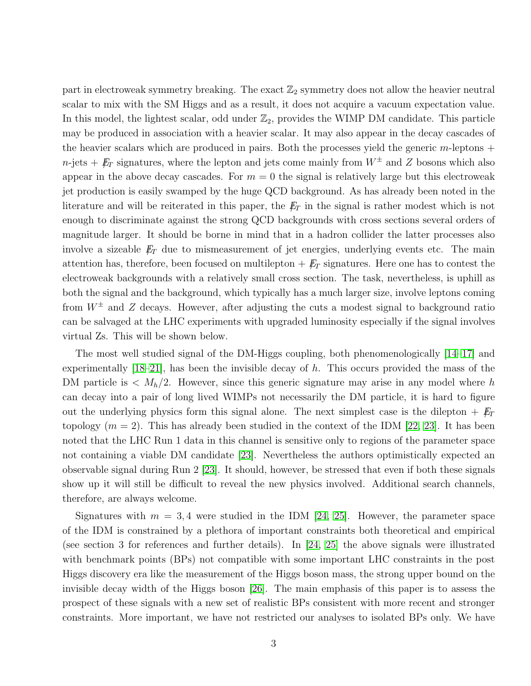part in electroweak symmetry breaking. The exact  $\mathbb{Z}_2$  symmetry does not allow the heavier neutral scalar to mix with the SM Higgs and as a result, it does not acquire a vacuum expectation value. In this model, the lightest scalar, odd under  $\mathbb{Z}_2$ , provides the WIMP DM candidate. This particle may be produced in association with a heavier scalar. It may also appear in the decay cascades of the heavier scalars which are produced in pairs. Both the processes yield the generic  $m$ -leptons  $+$  $n$ -jets +  $E_T$  signatures, where the lepton and jets come mainly from  $W^{\pm}$  and Z bosons which also appear in the above decay cascades. For  $m = 0$  the signal is relatively large but this electroweak jet production is easily swamped by the huge QCD background. As has already been noted in the literature and will be reiterated in this paper, the  $E_T$  in the signal is rather modest which is not enough to discriminate against the strong QCD backgrounds with cross sections several orders of magnitude larger. It should be borne in mind that in a hadron collider the latter processes also involve a sizeable  $E_T$  due to mismeasurement of jet energies, underlying events etc. The main attention has, therefore, been focused on multilepton  $+$   $\cancel{E}_T$  signatures. Here one has to contest the electroweak backgrounds with a relatively small cross section. The task, nevertheless, is uphill as both the signal and the background, which typically has a much larger size, involve leptons coming from  $W^{\pm}$  and Z decays. However, after adjusting the cuts a modest signal to background ratio can be salvaged at the LHC experiments with upgraded luminosity especially if the signal involves virtual Zs. This will be shown below.

The most well studied signal of the DM-Higgs coupling, both phenomenologically [\[14–](#page-18-12)[17\]](#page-18-13) and experimentally  $[18-21]$  $[18-21]$ , has been the invisible decay of h. This occurs provided the mass of the DM particle is  $\langle M_h/2$ . However, since this generic signature may arise in any model where h can decay into a pair of long lived WIMPs not necessarily the DM particle, it is hard to figure out the underlying physics form this signal alone. The next simplest case is the dilepton  $+ E_T$ topology  $(m = 2)$ . This has already been studied in the context of the IDM [\[22,](#page-19-1) [23\]](#page-19-2). It has been noted that the LHC Run 1 data in this channel is sensitive only to regions of the parameter space not containing a viable DM candidate [\[23\]](#page-19-2). Nevertheless the authors optimistically expected an observable signal during Run 2 [\[23\]](#page-19-2). It should, however, be stressed that even if both these signals show up it will still be difficult to reveal the new physics involved. Additional search channels, therefore, are always welcome.

Signatures with  $m = 3, 4$  were studied in the IDM [\[24,](#page-19-3) [25\]](#page-19-4). However, the parameter space of the IDM is constrained by a plethora of important constraints both theoretical and empirical (see section 3 for references and further details). In [\[24,](#page-19-3) [25\]](#page-19-4) the above signals were illustrated with benchmark points (BPs) not compatible with some important LHC constraints in the post Higgs discovery era like the measurement of the Higgs boson mass, the strong upper bound on the invisible decay width of the Higgs boson [\[26\]](#page-19-5). The main emphasis of this paper is to assess the prospect of these signals with a new set of realistic BPs consistent with more recent and stronger constraints. More important, we have not restricted our analyses to isolated BPs only. We have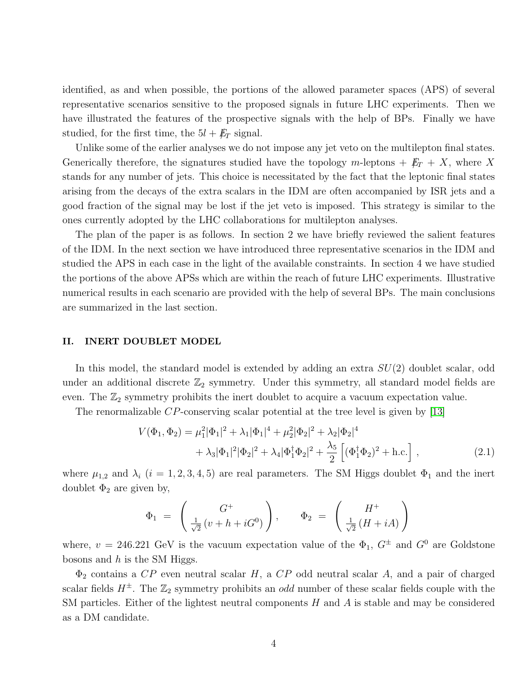identified, as and when possible, the portions of the allowed parameter spaces (APS) of several representative scenarios sensitive to the proposed signals in future LHC experiments. Then we have illustrated the features of the prospective signals with the help of BPs. Finally we have studied, for the first time, the  $5l + \not{E}_T$  signal.

Unlike some of the earlier analyses we do not impose any jet veto on the multilepton final states. Generically therefore, the signatures studied have the topology m-leptons  $+$   $\cancel{E}_T$  + X, where X stands for any number of jets. This choice is necessitated by the fact that the leptonic final states arising from the decays of the extra scalars in the IDM are often accompanied by ISR jets and a good fraction of the signal may be lost if the jet veto is imposed. This strategy is similar to the ones currently adopted by the LHC collaborations for multilepton analyses.

The plan of the paper is as follows. In section 2 we have briefly reviewed the salient features of the IDM. In the next section we have introduced three representative scenarios in the IDM and studied the APS in each case in the light of the available constraints. In section 4 we have studied the portions of the above APSs which are within the reach of future LHC experiments. Illustrative numerical results in each scenario are provided with the help of several BPs. The main conclusions are summarized in the last section.

#### II. INERT DOUBLET MODEL

In this model, the standard model is extended by adding an extra  $SU(2)$  doublet scalar, odd under an additional discrete  $\mathbb{Z}_2$  symmetry. Under this symmetry, all standard model fields are even. The  $\mathbb{Z}_2$  symmetry prohibits the inert doublet to acquire a vacuum expectation value.

The renormalizable CP-conserving scalar potential at the tree level is given by [\[13\]](#page-18-11)

$$
V(\Phi_1, \Phi_2) = \mu_1^2 |\Phi_1|^2 + \lambda_1 |\Phi_1|^4 + \mu_2^2 |\Phi_2|^2 + \lambda_2 |\Phi_2|^4
$$
  
+ 
$$
\lambda_3 |\Phi_1|^2 |\Phi_2|^2 + \lambda_4 |\Phi_1^{\dagger} \Phi_2|^2 + \frac{\lambda_5}{2} \left[ (\Phi_1^{\dagger} \Phi_2)^2 + \text{h.c.} \right],
$$
 (2.1)

where  $\mu_{1,2}$  and  $\lambda_i$  (i = 1, 2, 3, 4, 5) are real parameters. The SM Higgs doublet  $\Phi_1$  and the inert doublet  $\Phi_2$  are given by,

$$
\Phi_1 = \begin{pmatrix} G^+ \\ \frac{1}{\sqrt{2}} (v + h + iG^0) \end{pmatrix}, \qquad \Phi_2 = \begin{pmatrix} H^+ \\ \frac{1}{\sqrt{2}} (H + iA) \end{pmatrix}
$$

where,  $v = 246.221 \text{ GeV}$  is the vacuum expectation value of the  $\Phi_1$ ,  $G^{\pm}$  and  $G^0$  are Goldstone bosons and  $h$  is the SM Higgs.

 $\Phi_2$  contains a CP even neutral scalar H, a CP odd neutral scalar A, and a pair of charged scalar fields  $H^{\pm}$ . The  $\mathbb{Z}_2$  symmetry prohibits an *odd* number of these scalar fields couple with the SM particles. Either of the lightest neutral components  $H$  and  $A$  is stable and may be considered as a DM candidate.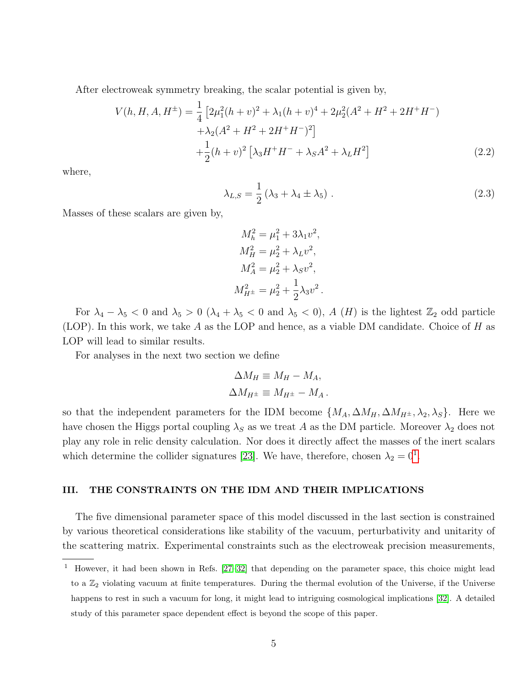After electroweak symmetry breaking, the scalar potential is given by,

$$
V(h, H, A, H^{\pm}) = \frac{1}{4} \left[ 2\mu_1^2 (h + v)^2 + \lambda_1 (h + v)^4 + 2\mu_2^2 (A^2 + H^2 + 2H^+H^-) + \lambda_2 (A^2 + H^2 + 2H^+H^-)^2 \right] + \frac{1}{2} (h + v)^2 \left[ \lambda_3 H^+H^- + \lambda_5 A^2 + \lambda_L H^2 \right]
$$
(2.2)

where,

$$
\lambda_{L,S} = \frac{1}{2} \left( \lambda_3 + \lambda_4 \pm \lambda_5 \right) . \tag{2.3}
$$

Masses of these scalars are given by,

$$
M_h^2 = \mu_1^2 + 3\lambda_1 v^2,
$$
  
\n
$$
M_H^2 = \mu_2^2 + \lambda_L v^2,
$$
  
\n
$$
M_A^2 = \mu_2^2 + \lambda_S v^2,
$$
  
\n
$$
M_{H^{\pm}}^2 = \mu_2^2 + \frac{1}{2}\lambda_3 v^2.
$$

For  $\lambda_4 - \lambda_5 < 0$  and  $\lambda_5 > 0$  ( $\lambda_4 + \lambda_5 < 0$  and  $\lambda_5 < 0$ ), A (H) is the lightest  $\mathbb{Z}_2$  odd particle (LOP). In this work, we take A as the LOP and hence, as a viable DM candidate. Choice of H as LOP will lead to similar results.

For analyses in the next two section we define

$$
\Delta M_H \equiv M_H - M_A,
$$
  

$$
\Delta M_{H^{\pm}} \equiv M_{H^{\pm}} - M_A.
$$

so that the independent parameters for the IDM become  $\{M_A, \Delta M_H, \Delta M_{H^{\pm}}, \lambda_2, \lambda_S\}$ . Here we have chosen the Higgs portal coupling  $\lambda_S$  as we treat A as the DM particle. Moreover  $\lambda_2$  does not play any role in relic density calculation. Nor does it directly affect the masses of the inert scalars which determine the collider signatures [\[23\]](#page-19-2). We have, therefore, chosen  $\lambda_2 = 0^1$  $\lambda_2 = 0^1$ .

#### III. THE CONSTRAINTS ON THE IDM AND THEIR IMPLICATIONS

The five dimensional parameter space of this model discussed in the last section is constrained by various theoretical considerations like stability of the vacuum, perturbativity and unitarity of the scattering matrix. Experimental constraints such as the electroweak precision measurements,

<span id="page-4-0"></span><sup>1</sup> However, it had been shown in Refs. [\[27–](#page-19-6)[32\]](#page-19-7) that depending on the parameter space, this choice might lead to a  $\mathbb{Z}_2$  violating vacuum at finite temperatures. During the thermal evolution of the Universe, if the Universe happens to rest in such a vacuum for long, it might lead to intriguing cosmological implications [\[32\]](#page-19-7). A detailed study of this parameter space dependent effect is beyond the scope of this paper.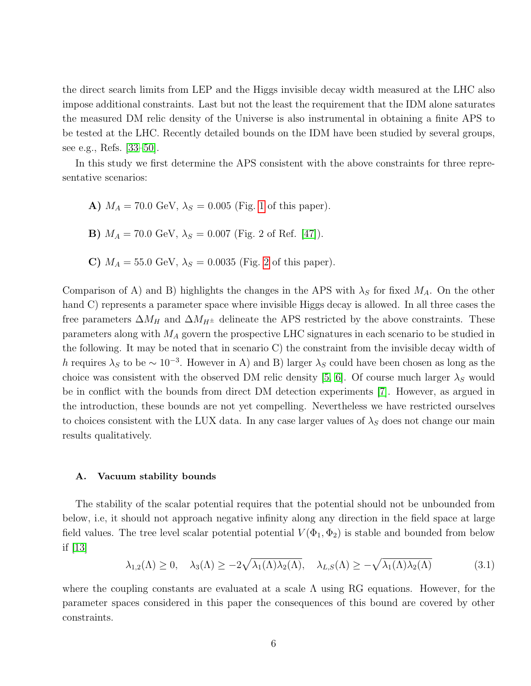the direct search limits from LEP and the Higgs invisible decay width measured at the LHC also impose additional constraints. Last but not the least the requirement that the IDM alone saturates the measured DM relic density of the Universe is also instrumental in obtaining a finite APS to be tested at the LHC. Recently detailed bounds on the IDM have been studied by several groups, see e.g., Refs. [\[33–](#page-19-8)[50\]](#page-19-9).

In this study we first determine the APS consistent with the above constraints for three representative scenarios:

- A)  $M_A = 70.0 \text{ GeV}, \lambda_S = 0.005 \text{ (Fig. 1 of this paper)}.$  $M_A = 70.0 \text{ GeV}, \lambda_S = 0.005 \text{ (Fig. 1 of this paper)}.$  $M_A = 70.0 \text{ GeV}, \lambda_S = 0.005 \text{ (Fig. 1 of this paper)}.$
- **B)**  $M_A = 70.0 \text{ GeV}, \lambda_S = 0.007 \text{ (Fig. 2 of Ref. [47])}.$  $M_A = 70.0 \text{ GeV}, \lambda_S = 0.007 \text{ (Fig. 2 of Ref. [47])}.$  $M_A = 70.0 \text{ GeV}, \lambda_S = 0.007 \text{ (Fig. 2 of Ref. [47])}.$
- C)  $M_A = 55.0 \text{ GeV}, \lambda_S = 0.0035 \text{ (Fig. 2 of this paper)}.$  $M_A = 55.0 \text{ GeV}, \lambda_S = 0.0035 \text{ (Fig. 2 of this paper)}.$  $M_A = 55.0 \text{ GeV}, \lambda_S = 0.0035 \text{ (Fig. 2 of this paper)}.$

Comparison of A) and B) highlights the changes in the APS with  $\lambda_S$  for fixed  $M_A$ . On the other hand C) represents a parameter space where invisible Higgs decay is allowed. In all three cases the free parameters  $\Delta M_H$  and  $\Delta M_{H^{\pm}}$  delineate the APS restricted by the above constraints. These parameters along with  $M_A$  govern the prospective LHC signatures in each scenario to be studied in the following. It may be noted that in scenario C) the constraint from the invisible decay width of h requires  $\lambda_S$  to be  $\sim 10^{-3}$ . However in A) and B) larger  $\lambda_S$  could have been chosen as long as the choice was consistent with the observed DM relic density [\[5,](#page-18-4) [6\]](#page-18-5). Of course much larger  $\lambda_S$  would be in conflict with the bounds from direct DM detection experiments [\[7\]](#page-18-6). However, as argued in the introduction, these bounds are not yet compelling. Nevertheless we have restricted ourselves to choices consistent with the LUX data. In any case larger values of  $\lambda_S$  does not change our main results qualitatively.

#### A. Vacuum stability bounds

The stability of the scalar potential requires that the potential should not be unbounded from below, i.e, it should not approach negative infinity along any direction in the field space at large field values. The tree level scalar potential potential  $V(\Phi_1, \Phi_2)$  is stable and bounded from below if [\[13\]](#page-18-11)

$$
\lambda_{1,2}(\Lambda) \ge 0, \quad \lambda_3(\Lambda) \ge -2\sqrt{\lambda_1(\Lambda)\lambda_2(\Lambda)}, \quad \lambda_{L,S}(\Lambda) \ge -\sqrt{\lambda_1(\Lambda)\lambda_2(\Lambda)} \tag{3.1}
$$

where the coupling constants are evaluated at a scale  $\Lambda$  using RG equations. However, for the parameter spaces considered in this paper the consequences of this bound are covered by other constraints.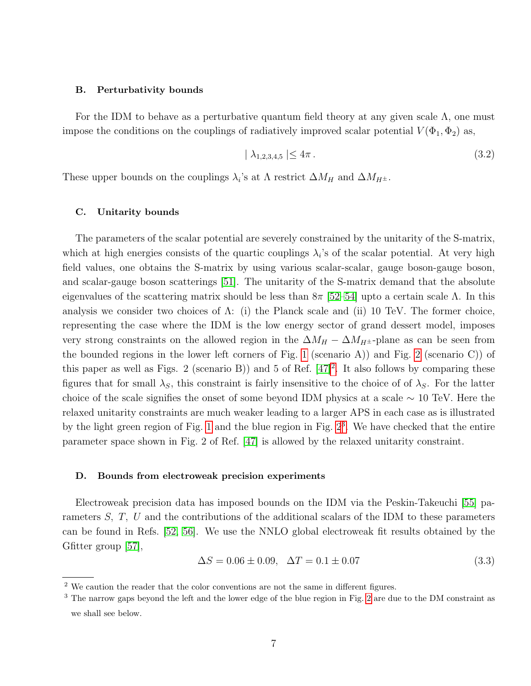### B. Perturbativity bounds

For the IDM to behave as a perturbative quantum field theory at any given scale  $\Lambda$ , one must impose the conditions on the couplings of radiatively improved scalar potential  $V(\Phi_1, \Phi_2)$  as,

$$
|\lambda_{1,2,3,4,5}| \le 4\pi. \tag{3.2}
$$

These upper bounds on the couplings  $\lambda_i$ 's at  $\Lambda$  restrict  $\Delta M_H$  and  $\Delta M_{H^{\pm}}$ .

#### C. Unitarity bounds

The parameters of the scalar potential are severely constrained by the unitarity of the S-matrix, which at high energies consists of the quartic couplings  $\lambda_i$ 's of the scalar potential. At very high field values, one obtains the S-matrix by using various scalar-scalar, gauge boson-gauge boson, and scalar-gauge boson scatterings [\[51\]](#page-20-0). The unitarity of the S-matrix demand that the absolute eigenvalues of the scattering matrix should be less than  $8\pi$  [\[52–](#page-20-1)[54\]](#page-20-2) upto a certain scale  $\Lambda$ . In this analysis we consider two choices of  $\Lambda$ : (i) the Planck scale and (ii) 10 TeV. The former choice, representing the case where the IDM is the low energy sector of grand dessert model, imposes very strong constraints on the allowed region in the  $\Delta M_H - \Delta M_{H^{\pm}}$ -plane as can be seen from the bounded regions in the lower left corners of Fig. [1](#page-7-0) (scenario A)) and Fig. [2](#page-8-0) (scenario C)) of this paper as well as Figs. [2](#page-6-0) (scenario B)) and 5 of Ref.  $[47]^2$  $[47]^2$ . It also follows by comparing these figures that for small  $\lambda_S$ , this constraint is fairly insensitive to the choice of of  $\lambda_S$ . For the latter choice of the scale signifies the onset of some beyond IDM physics at a scale  $\sim 10$  TeV. Here the relaxed unitarity constraints are much weaker leading to a larger APS in each case as is illustrated by the light green region of Fig. [1](#page-7-0) and the blue region in Fig.  $2<sup>3</sup>$  $2<sup>3</sup>$  $2<sup>3</sup>$ . We have checked that the entire parameter space shown in Fig. 2 of Ref. [\[47\]](#page-19-10) is allowed by the relaxed unitarity constraint.

## D. Bounds from electroweak precision experiments

Electroweak precision data has imposed bounds on the IDM via the Peskin-Takeuchi [\[55\]](#page-20-3) parameters S, T, U and the contributions of the additional scalars of the IDM to these parameters can be found in Refs. [\[52,](#page-20-1) [56\]](#page-20-4). We use the NNLO global electroweak fit results obtained by the Gfitter group [\[57\]](#page-20-5),

<span id="page-6-2"></span>
$$
\Delta S = 0.06 \pm 0.09, \quad \Delta T = 0.1 \pm 0.07 \tag{3.3}
$$

<span id="page-6-1"></span><span id="page-6-0"></span> $2$  We caution the reader that the color conventions are not the same in different figures.

<sup>3</sup> The narrow gaps beyond the left and the lower edge of the blue region in Fig. [2](#page-8-0) are due to the DM constraint as we shall see below.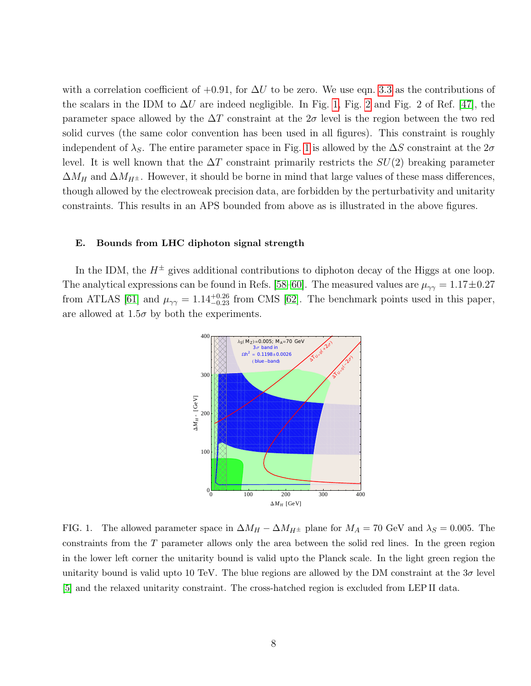with a correlation coefficient of  $+0.91$ , for  $\Delta U$  to be zero. We use eqn. [3.3](#page-6-2) as the contributions of the scalars in the IDM to  $\Delta U$  are indeed negligible. In Fig. [1,](#page-7-0) Fig. [2](#page-8-0) and Fig. 2 of Ref. [\[47\]](#page-19-10), the parameter space allowed by the  $\Delta T$  constraint at the  $2\sigma$  level is the region between the two red solid curves (the same color convention has been used in all figures). This constraint is roughly independent of  $\lambda_S$ . The entire parameter space in Fig. [1](#page-7-0) is allowed by the  $\Delta S$  constraint at the  $2\sigma$ level. It is well known that the  $\Delta T$  constraint primarily restricts the  $SU(2)$  breaking parameter  $\Delta M_H$  and  $\Delta M_{H^{\pm}}$ . However, it should be borne in mind that large values of these mass differences, though allowed by the electroweak precision data, are forbidden by the perturbativity and unitarity constraints. This results in an APS bounded from above as is illustrated in the above figures.

### E. Bounds from LHC diphoton signal strength

In the IDM, the  $H^{\pm}$  gives additional contributions to diphoton decay of the Higgs at one loop. The analytical expressions can be found in Refs. [\[58–](#page-20-6)[60\]](#page-20-7). The measured values are  $\mu_{\gamma\gamma} = 1.17 \pm 0.27$ from ATLAS [\[61\]](#page-20-8) and  $\mu_{\gamma\gamma} = 1.14_{-0.23}^{+0.26}$  from CMS [\[62\]](#page-20-9). The benchmark points used in this paper, are allowed at  $1.5\sigma$  by both the experiments.



<span id="page-7-0"></span>FIG. 1. The allowed parameter space in  $\Delta M_H - \Delta M_{H^{\pm}}$  plane for  $M_A = 70$  GeV and  $\lambda_S = 0.005$ . The constraints from the T parameter allows only the area between the solid red lines. In the green region in the lower left corner the unitarity bound is valid upto the Planck scale. In the light green region the unitarity bound is valid upto 10 TeV. The blue regions are allowed by the DM constraint at the  $3\sigma$  level [\[5\]](#page-18-4) and the relaxed unitarity constraint. The cross-hatched region is excluded from LEP II data.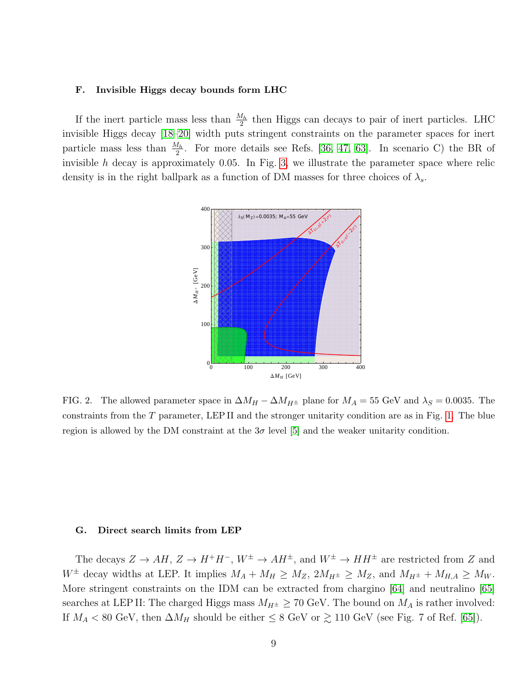#### F. Invisible Higgs decay bounds form LHC

If the inert particle mass less than  $\frac{M_h}{2}$  then Higgs can decays to pair of inert particles. LHC invisible Higgs decay [\[18–](#page-18-14)[20\]](#page-19-11) width puts stringent constraints on the parameter spaces for inert particle mass less than  $\frac{M_h}{2}$ . For more details see Refs. [\[36,](#page-19-12) [47,](#page-19-10) [63\]](#page-20-10). In scenario C) the BR of invisible h decay is approximately 0.05. In Fig. [3,](#page-9-0) we illustrate the parameter space where relic density is in the right ballpark as a function of DM masses for three choices of  $\lambda_s$ .



<span id="page-8-0"></span>FIG. 2. The allowed parameter space in  $\Delta M_H - \Delta M_{H^{\pm}}$  plane for  $M_A = 55$  GeV and  $\lambda_S = 0.0035$ . The constraints from the  $T$  parameter, LEP II and the stronger unitarity condition are as in Fig. [1.](#page-7-0) The blue region is allowed by the DM constraint at the  $3\sigma$  level [\[5\]](#page-18-4) and the weaker unitarity condition.

#### G. Direct search limits from LEP

The decays  $Z \to AH$ ,  $Z \to H^+H^-$ ,  $W^{\pm} \to AH^{\pm}$ , and  $W^{\pm} \to HH^{\pm}$  are restricted from Z and  $W^{\pm}$  decay widths at LEP. It implies  $M_A + M_H \geq M_Z$ ,  $2M_{H^{\pm}} \geq M_Z$ , and  $M_{H^{\pm}} + M_{H,A} \geq M_W$ . More stringent constraints on the IDM can be extracted from chargino [\[64\]](#page-20-11) and neutralino [\[65\]](#page-20-12) searches at LEP II: The charged Higgs mass  $M_{H^{\pm}} \geq 70$  GeV. The bound on  $M_A$  is rather involved: If  $M_A < 80$  GeV, then  $\Delta M_H$  should be either  $\leq 8$  GeV or  $\gtrsim 110$  GeV (see Fig. 7 of Ref. [\[65\]](#page-20-12)).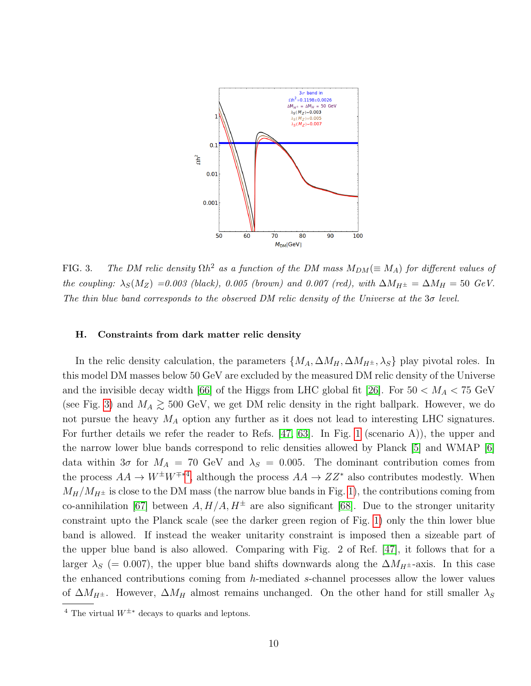

<span id="page-9-0"></span>FIG. 3. The DM relic density  $\Omega h^2$  as a function of the DM mass  $M_{DM} (\equiv M_A)$  for different values of the coupling:  $\lambda_S(M_Z) = 0.003$  (black), 0.005 (brown) and 0.007 (red), with  $\Delta M_{H^{\pm}} = \Delta M_H = 50$  GeV. The thin blue band corresponds to the observed DM relic density of the Universe at the  $3\sigma$  level.

#### H. Constraints from dark matter relic density

In the relic density calculation, the parameters  $\{M_A, \Delta M_H, \Delta M_{H^{\pm}}, \lambda_S\}$  play pivotal roles. In this model DM masses below 50 GeV are excluded by the measured DM relic density of the Universe and the invisible decay width [\[66\]](#page-20-13) of the Higgs from LHC global fit [\[26\]](#page-19-5). For  $50 < M_A < 75$  GeV (see Fig. [3\)](#page-9-0) and  $M_A \gtrsim 500$  GeV, we get DM relic density in the right ballpark. However, we do not pursue the heavy  $M_A$  option any further as it does not lead to interesting LHC signatures. For further details we refer the reader to Refs. [\[47,](#page-19-10) [63\]](#page-20-10). In Fig. [1](#page-7-0) (scenario A)), the upper and the narrow lower blue bands correspond to relic densities allowed by Planck [\[5\]](#page-18-4) and WMAP [\[6\]](#page-18-5) data within  $3\sigma$  for  $M_A = 70$  GeV and  $\lambda_S = 0.005$ . The dominant contribution comes from the process  $AA \to W^{\pm}W^{\mp*4}$  $AA \to W^{\pm}W^{\mp*4}$  $AA \to W^{\pm}W^{\mp*4}$ , although the process  $AA \to ZZ^*$  also contributes modestly. When  $M_H/M_{H^{\pm}}$  is close to the DM mass (the narrow blue bands in Fig. [1\)](#page-7-0), the contributions coming from co-annihilation [\[67\]](#page-20-14) between  $A, H/A, H^{\pm}$  are also significant [\[68\]](#page-20-15). Due to the stronger unitarity constraint upto the Planck scale (see the darker green region of Fig. [1\)](#page-7-0) only the thin lower blue band is allowed. If instead the weaker unitarity constraint is imposed then a sizeable part of the upper blue band is also allowed. Comparing with Fig. 2 of Ref. [\[47\]](#page-19-10), it follows that for a larger  $\lambda_S$  (= 0.007), the upper blue band shifts downwards along the  $\Delta M_{H^{\pm}}$ -axis. In this case the enhanced contributions coming from h-mediated s-channel processes allow the lower values of  $\Delta M_{H^{\pm}}$ . However,  $\Delta M_H$  almost remains unchanged. On the other hand for still smaller  $\lambda_S$ 

<span id="page-9-1"></span><sup>&</sup>lt;sup>4</sup> The virtual  $W^{\pm*}$  decays to quarks and leptons.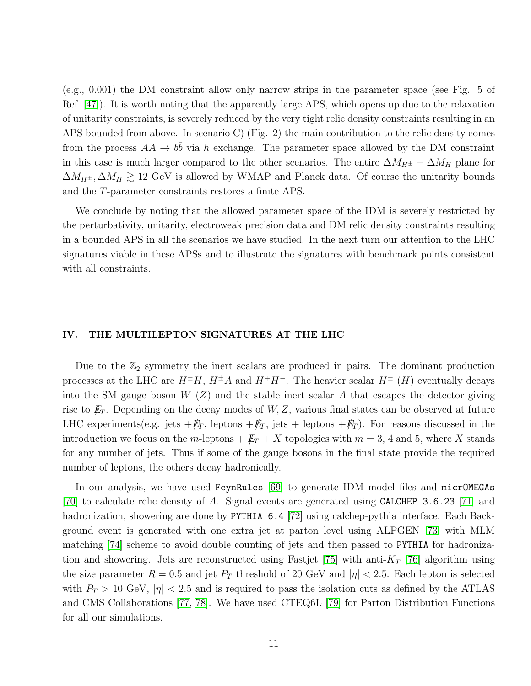(e.g., 0.001) the DM constraint allow only narrow strips in the parameter space (see Fig. 5 of Ref. [\[47\]](#page-19-10)). It is worth noting that the apparently large APS, which opens up due to the relaxation of unitarity constraints, is severely reduced by the very tight relic density constraints resulting in an APS bounded from above. In scenario C) (Fig. 2) the main contribution to the relic density comes from the process  $AA \rightarrow b\bar{b}$  via h exchange. The parameter space allowed by the DM constraint in this case is much larger compared to the other scenarios. The entire  $\Delta M_{H^{\pm}} - \Delta M_H$  plane for  $\Delta M_{H^{\pm}}$ ,  $\Delta M_H \gtrsim 12$  GeV is allowed by WMAP and Planck data. Of course the unitarity bounds and the T-parameter constraints restores a finite APS.

We conclude by noting that the allowed parameter space of the IDM is severely restricted by the perturbativity, unitarity, electroweak precision data and DM relic density constraints resulting in a bounded APS in all the scenarios we have studied. In the next turn our attention to the LHC signatures viable in these APSs and to illustrate the signatures with benchmark points consistent with all constraints.

## IV. THE MULTILEPTON SIGNATURES AT THE LHC

Due to the  $\mathbb{Z}_2$  symmetry the inert scalars are produced in pairs. The dominant production processes at the LHC are  $H^{\pm}H$ ,  $H^{\pm}A$  and  $H^{\pm}H^-$ . The heavier scalar  $H^{\pm}$  (H) eventually decays into the SM gauge boson  $W(Z)$  and the stable inert scalar A that escapes the detector giving rise to  $E_T$ . Depending on the decay modes of  $W, Z$ , various final states can be observed at future LHC experiments(e.g. jets  $+\not{E}_T$ , leptons  $+\not{E}_T$ , jets + leptons  $+\not{E}_T$ ). For reasons discussed in the introduction we focus on the m-leptons  $+$   $\cancel{E}_T$  + X topologies with  $m = 3, 4$  and 5, where X stands for any number of jets. Thus if some of the gauge bosons in the final state provide the required number of leptons, the others decay hadronically.

In our analysis, we have used FeynRules [\[69\]](#page-20-16) to generate IDM model files and micrOMEGAs [\[70\]](#page-20-17) to calculate relic density of A. Signal events are generated using CALCHEP 3.6.23 [\[71\]](#page-20-18) and hadronization, showering are done by PYTHIA 6.4 [\[72\]](#page-20-19) using calchep-pythia interface. Each Background event is generated with one extra jet at parton level using ALPGEN [\[73\]](#page-20-20) with MLM matching [\[74\]](#page-20-21) scheme to avoid double counting of jets and then passed to PYTHIA for hadroniza-tion and showering. Jets are reconstructed using Fastjet [\[75\]](#page-20-22) with anti- $K_T$  [\[76\]](#page-20-23) algorithm using the size parameter  $R = 0.5$  and jet  $P_T$  threshold of 20 GeV and  $|\eta| < 2.5$ . Each lepton is selected with  $P_T > 10$  GeV,  $|\eta| < 2.5$  and is required to pass the isolation cuts as defined by the ATLAS and CMS Collaborations [\[77,](#page-20-24) [78\]](#page-20-25). We have used CTEQ6L [\[79\]](#page-20-26) for Parton Distribution Functions for all our simulations.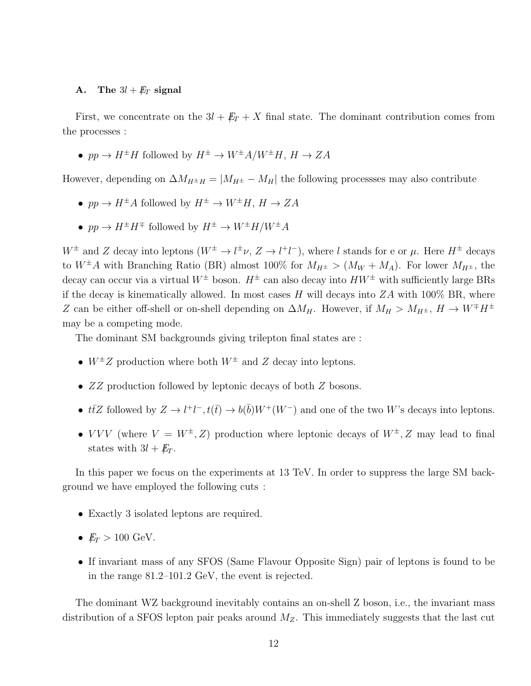#### A. The  $3l + \not\!\!{E}_T$  signal

First, we concentrate on the  $3l + \not{E}_T + X$  final state. The dominant contribution comes from the processes :

•  $pp \to H^{\pm}H$  followed by  $H^{\pm} \to W^{\pm}A/W^{\pm}H$ ,  $H \to ZA$ 

However, depending on  $\Delta M_{H^{\pm}H} = |M_{H^{\pm}} - M_H|$  the following processses may also contribute

- $pp \to H^{\pm}A$  followed by  $H^{\pm} \to W^{\pm}H$ ,  $H \to ZA$
- $pp \to H^{\pm} H^{\mp}$  followed by  $H^{\pm} \to W^{\pm} H/W^{\pm} A$

 $W^{\pm}$  and Z decay into leptons  $(W^{\pm} \to l^{\pm} \nu, Z \to l^+ l^-)$ , where l stands for e or  $\mu$ . Here  $H^{\pm}$  decays to  $W^{\pm}A$  with Branching Ratio (BR) almost 100% for  $M_{H^{\pm}} > (M_W + M_A)$ . For lower  $M_{H^{\pm}}$ , the decay can occur via a virtual  $W^{\pm}$  boson.  $H^{\pm}$  can also decay into  $HW^{\pm}$  with sufficiently large BRs if the decay is kinematically allowed. In most cases H will decays into  $ZA$  with 100% BR, where Z can be either off-shell or on-shell depending on  $\Delta M_H$ . However, if  $M_H > M_{H^{\pm}}$ ,  $H \to W^{\mp} H^{\pm}$ may be a competing mode.

The dominant SM backgrounds giving trilepton final states are :

- $W^{\pm}Z$  production where both  $W^{\pm}$  and Z decay into leptons.
- ZZ production followed by leptonic decays of both Z bosons.
- $t\bar{t}Z$  followed by  $Z \to l^+l^-, t(\bar{t}) \to b(\bar{b})W^+(W^-)$  and one of the two W's decays into leptons.
- VVV (where  $V = W^{\pm}, Z$ ) production where leptonic decays of  $W^{\pm}, Z$  may lead to final states with  $3l + E_T$ .

In this paper we focus on the experiments at 13 TeV. In order to suppress the large SM background we have employed the following cuts :

- Exactly 3 isolated leptons are required.
- $E_T > 100$  GeV.
- If invariant mass of any SFOS (Same Flavour Opposite Sign) pair of leptons is found to be in the range 81.2–101.2 GeV, the event is rejected.

The dominant WZ background inevitably contains an on-shell Z boson, i.e., the invariant mass distribution of a SFOS lepton pair peaks around  $M_Z$ . This immediately suggests that the last cut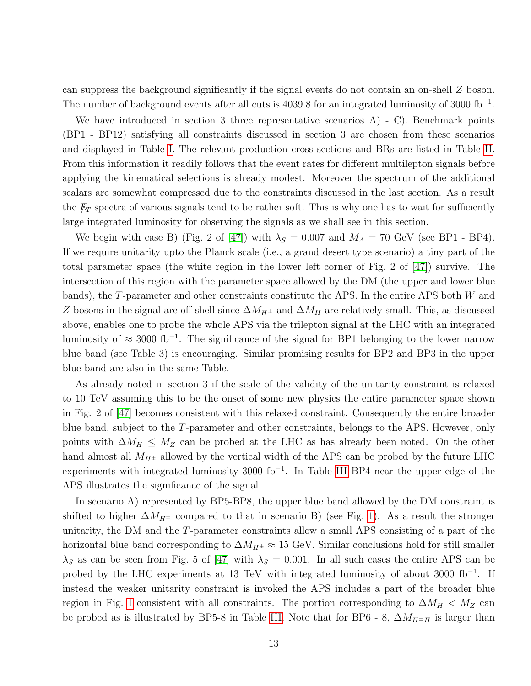can suppress the background significantly if the signal events do not contain an on-shell Z boson. The number of background events after all cuts is 4039.8 for an integrated luminosity of 3000 fb<sup>-1</sup>.

We have introduced in section 3 three representative scenarios A) - C). Benchmark points (BP1 - BP12) satisfying all constraints discussed in section 3 are chosen from these scenarios and displayed in Table [I.](#page-13-0) The relevant production cross sections and BRs are listed in Table [II.](#page-14-0) From this information it readily follows that the event rates for different multilepton signals before applying the kinematical selections is already modest. Moreover the spectrum of the additional scalars are somewhat compressed due to the constraints discussed in the last section. As a result the  $E_T$  spectra of various signals tend to be rather soft. This is why one has to wait for sufficiently large integrated luminosity for observing the signals as we shall see in this section.

We begin with case B) (Fig. 2 of [\[47\]](#page-19-10)) with  $\lambda_S = 0.007$  and  $M_A = 70$  GeV (see BP1 - BP4). If we require unitarity upto the Planck scale (i.e., a grand desert type scenario) a tiny part of the total parameter space (the white region in the lower left corner of Fig. 2 of [\[47\]](#page-19-10)) survive. The intersection of this region with the parameter space allowed by the DM (the upper and lower blue bands), the T-parameter and other constraints constitute the APS. In the entire APS both W and Z bosons in the signal are off-shell since  $\Delta M_{H^{\pm}}$  and  $\Delta M_{H}$  are relatively small. This, as discussed above, enables one to probe the whole APS via the trilepton signal at the LHC with an integrated luminosity of  $\approx 3000$  fb<sup>-1</sup>. The significance of the signal for BP1 belonging to the lower narrow blue band (see Table 3) is encouraging. Similar promising results for BP2 and BP3 in the upper blue band are also in the same Table.

As already noted in section 3 if the scale of the validity of the unitarity constraint is relaxed to 10 TeV assuming this to be the onset of some new physics the entire parameter space shown in Fig. 2 of [\[47\]](#page-19-10) becomes consistent with this relaxed constraint. Consequently the entire broader blue band, subject to the T-parameter and other constraints, belongs to the APS. However, only points with  $\Delta M_H \leq M_Z$  can be probed at the LHC as has already been noted. On the other hand almost all  $M_{H^{\pm}}$  allowed by the vertical width of the APS can be probed by the future LHC experiments with integrated luminosity 3000 fb<sup>-1</sup>. In Table [III](#page-15-0) BP4 near the upper edge of the APS illustrates the significance of the signal.

In scenario A) represented by BP5-BP8, the upper blue band allowed by the DM constraint is shifted to higher  $\Delta M_{H^{\pm}}$  compared to that in scenario B) (see Fig. [1\)](#page-7-0). As a result the stronger unitarity, the DM and the T-parameter constraints allow a small APS consisting of a part of the horizontal blue band corresponding to  $\Delta M_{H^{\pm}} \approx 15$  GeV. Similar conclusions hold for still smaller  $\lambda_S$  as can be seen from Fig. 5 of [\[47\]](#page-19-10) with  $\lambda_S = 0.001$ . In all such cases the entire APS can be probed by the LHC experiments at 13 TeV with integrated luminosity of about 3000 fb<sup>-1</sup>. If instead the weaker unitarity constraint is invoked the APS includes a part of the broader blue region in Fig. [1](#page-7-0) consistent with all constraints. The portion corresponding to  $\Delta M_H < M_Z$  can be probed as is illustrated by BP5-8 in Table [III.](#page-15-0) Note that for BP6 - 8,  $\Delta M_{H^{\pm}H}$  is larger than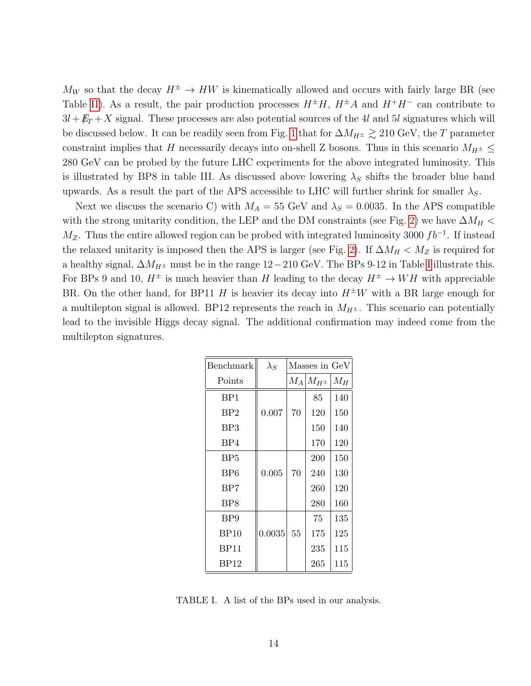$M_W$  so that the decay  $H^{\pm} \to HW$  is kinematically allowed and occurs with fairly large BR (see Table [II\)](#page-14-0). As a result, the pair production processes  $H^{\pm}H$ ,  $H^{\pm}A$  and  $H^{\mp}H^-$  can contribute to  $3l + E_T + X$  signal. These processes are also potential sources of the 4l and 5l signatures which will be discussed below. It can be readily seen from Fig. [1](#page-7-0) that for  $\Delta M_{H^{\pm}} \gtrsim 210$  GeV, the T parameter constraint implies that H necessarily decays into on-shell Z bosons. Thus in this scenario  $M_{H^{\pm}} \leq$ 280 GeV can be probed by the future LHC experiments for the above integrated luminosity. This is illustrated by BP8 in table III. As discussed above lowering  $\lambda_S$  shifts the broader blue band upwards. As a result the part of the APS accessible to LHC will further shrink for smaller  $\lambda_S$ .

Next we discuss the scenario C) with  $M_A = 55$  GeV and  $\lambda_S = 0.0035$ . In the APS compatible with the strong unitarity condition, the LEP and the DM constraints (see Fig. [2\)](#page-8-0) we have  $\Delta M_H$  <  $M_Z$ . Thus the entire allowed region can be probed with integrated luminosity 3000  $fb^{-1}$ . If instead the relaxed unitarity is imposed then the APS is larger (see Fig. [2\)](#page-8-0). If  $\Delta M_H < M_Z$  is required for a healthy signal,  $\Delta M_{H^{\pm}}$  must be in the range 12−210 GeV. The BPs 9-12 in Table [I](#page-13-0) illustrate this. For BPs 9 and 10,  $H^{\pm}$  is much heavier than H leading to the decay  $H^{\pm} \to WH$  with appreciable BR. On the other hand, for BP11 H is heavier its decay into  $H^{\pm}W$  with a BR large enough for a multilepton signal is allowed. BP12 represents the reach in  $M_{H^{\pm}}$ . This scenario can potentially lead to the invisible Higgs decay signal. The additional confirmation may indeed come from the multilepton signatures.

| Benchmark       | $\lambda_S$ | Masses in GeV |               |       |
|-----------------|-------------|---------------|---------------|-------|
| Points          |             | $M_A$         | $M_{H^{\pm}}$ | $M_H$ |
| BP1             |             |               | 85            | 140   |
| BP2             | 0.007       | 70            | 120           | 150   |
| BP3             |             |               | 150           | 140   |
| BP4             |             |               | 170           | 120   |
| BP <sub>5</sub> |             |               | 200           | 150   |
| BP <sub>6</sub> | 0.005       | 70            | 240           | 130   |
| BP7             |             |               | 260           | 120   |
| BP8             |             |               | 280           | 160   |
| BP <sub>9</sub> |             |               | 75            | 135   |
| BP10            | 0.0035      | 55            | 175           | 125   |
| <b>BP11</b>     |             |               | 235           | 115   |
| BP12            |             |               | 265           | 115   |

<span id="page-13-0"></span>TABLE I. A list of the BPs used in our analysis.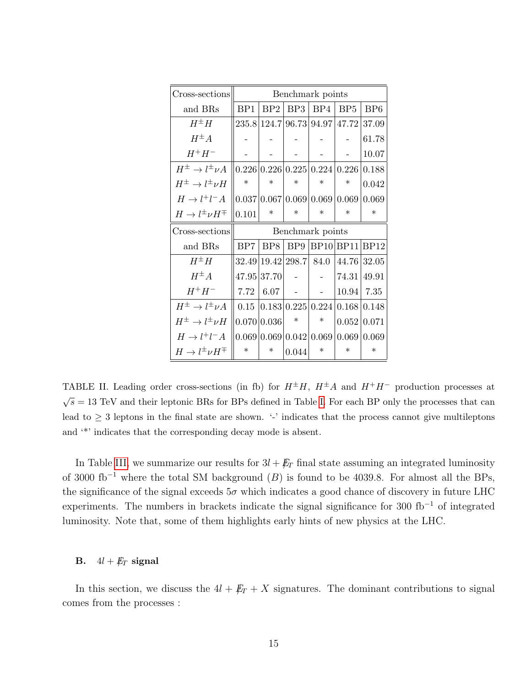| Cross-sections                      | Benchmark points |                 |                   |                               |                                     |                 |
|-------------------------------------|------------------|-----------------|-------------------|-------------------------------|-------------------------------------|-----------------|
| and BRs                             | BP1              | BP2             | BP3               | BP4                           | BP5                                 | BP <sub>6</sub> |
| $H^{\pm}H$                          |                  |                 |                   |                               | 235.8 124.7 96.73 94.97 47.72 37.09 |                 |
| $H^{\pm}A$                          |                  |                 |                   |                               |                                     | 61.78           |
| $H^+H^-$                            |                  |                 |                   |                               |                                     | 10.07           |
| $H^{\pm} \to l^{\pm} \nu A$         |                  |                 |                   | 0.226 0.226 0.225 0.224 0.226 |                                     | 0.188           |
| $H^\pm \to l^\pm \nu H$             | $\ast$           | $\ast$          | $\ast$            | $\ast$                        | $\ast$                              | 0.042           |
| $H \to l^+l^-A$                     |                  |                 |                   | 0.037 0.067 0.069 0.069       | 0.069                               | 0.069           |
| $H \to l^{\pm} \nu H^{\mp}$         | 0.101            | $\ast$          | $\ast$            | $\ast$                        | $\ast$                              | $\ast$          |
| Cross-sections                      | Benchmark points |                 |                   |                               |                                     |                 |
|                                     |                  |                 |                   |                               |                                     |                 |
| and BRs                             | BP7              | BP <sub>8</sub> | BP9               | BP10 BP11                     |                                     | BP12            |
| $H^{\pm}H$                          |                  |                 | 32.49 19.42 298.7 | 84.0                          | 44.76 32.05                         |                 |
| $H^{\pm}A$                          |                  | 47.95 37.70     |                   |                               | 74.31                               | 49.91           |
| $H^+H^-$                            | 7.72             | 6.07            |                   |                               | 10.94                               | 7.35            |
| $H^{\pm} \to l^{\pm} \nu A$         | 0.15             |                 |                   |                               | 0.183 0.225 0.224 0.168 0.148       |                 |
| $H^{\pm} \rightarrow l^{\pm} \nu H$ |                  | 0.070 0.036     | $\ast$            | $\ast$                        | 0.052 0.071                         |                 |
| $H \to l^+l^-A$                     |                  | 0.069 0.069     |                   | 0.042 0.069                   | 0.069                               | 0.069           |

<span id="page-14-0"></span>TABLE II. Leading order cross-sections (in fb) for  $H^{\pm}H$ ,  $H^{\pm}A$  and  $H^+H^-$  production processes at  $\sqrt{s} = 13$  TeV and their leptonic BRs for BPs defined in Table [I.](#page-13-0) For each BP only the processes that can lead to  $\geq$  3 leptons in the final state are shown. '-' indicates that the process cannot give multileptons and '\*' indicates that the corresponding decay mode is absent.

In Table [III,](#page-15-0) we summarize our results for  $3l + \not{E}_T$  final state assuming an integrated luminosity of 3000 fb<sup>-1</sup> where the total SM background (B) is found to be 4039.8. For almost all the BPs, the significance of the signal exceeds  $5\sigma$  which indicates a good chance of discovery in future LHC experiments. The numbers in brackets indicate the signal significance for 300 fb<sup>−</sup><sup>1</sup> of integrated luminosity. Note that, some of them highlights early hints of new physics at the LHC.

### **B.**  $4l + \not\!\!E_T$  signal

In this section, we discuss the  $4l + \not{E}_T + X$  signatures. The dominant contributions to signal comes from the processes :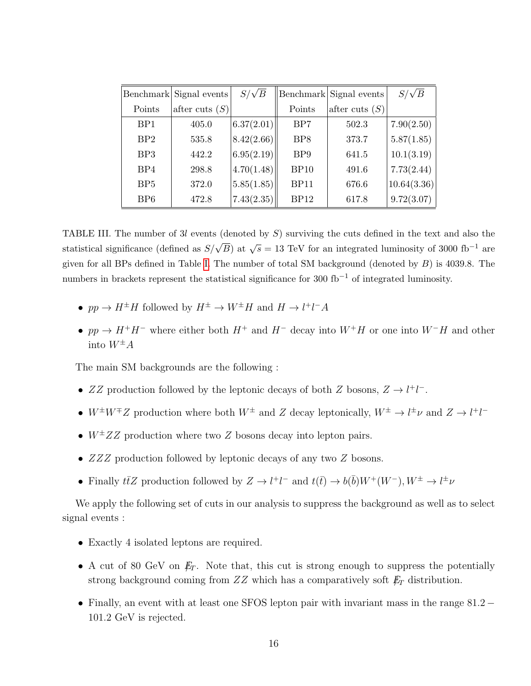|                 | Benchmark Signal events | $S/\sqrt{B}$ |                 | Benchmark Signal events | $S/\sqrt{B}$ |
|-----------------|-------------------------|--------------|-----------------|-------------------------|--------------|
| Points          | after cuts $(S)$        |              | Points          | after cuts $(S)$        |              |
| BP <sub>1</sub> | 405.0                   | 6.37(2.01)   | B <sub>P7</sub> | 502.3                   | 7.90(2.50)   |
| BP2             | 535.8                   | 8.42(2.66)   | BP <sub>8</sub> | 373.7                   | 5.87(1.85)   |
| BP <sub>3</sub> | 442.2                   | 6.95(2.19)   | BP <sub>9</sub> | 641.5                   | 10.1(3.19)   |
| BP4             | 298.8                   | 4.70(1.48)   | <b>BP10</b>     | 491.6                   | 7.73(2.44)   |
| BP5             | 372.0                   | 5.85(1.85)   | BP11            | 676.6                   | 10.64(3.36)  |
| BP6             | 472.8                   | 7.43(2.35)   | BP12            | 617.8                   | 9.72(3.07)   |

<span id="page-15-0"></span>TABLE III. The number of  $3l$  events (denoted by  $S$ ) surviving the cuts defined in the text and also the statistical significance (defined as  $S/\sqrt{B}$ ) at  $\sqrt{s} = 13$  TeV for an integrated luminosity of 3000 fb<sup>-1</sup> are given for all BPs defined in Table [I.](#page-13-0) The number of total SM background (denoted by  $B$ ) is 4039.8. The numbers in brackets represent the statistical significance for 300 fb<sup>-1</sup> of integrated luminosity.

- $pp \to H^{\pm}H$  followed by  $H^{\pm} \to W^{\pm}H$  and  $H \to l^{+}l^{-}A$
- pp  $\rightarrow H^+H^-$  where either both  $H^+$  and  $H^-$  decay into  $W^+H$  or one into  $W^-H$  and other into  $W^{\pm}A$

The main SM backgrounds are the following :

- ZZ production followed by the leptonic decays of both Z bosons,  $Z \rightarrow l^+l^-$ .
- $W^{\pm}W^{\mp}Z$  production where both  $W^{\pm}$  and Z decay leptonically,  $W^{\pm} \to l^{\pm} \nu$  and  $Z \to l^{\mp}l^-$
- $W^{\pm}ZZ$  production where two Z bosons decay into lepton pairs.
- ZZZ production followed by leptonic decays of any two Z bosons.
- Finally  $t\bar{t}Z$  production followed by  $Z \to l^+l^-$  and  $t(\bar{t}) \to b(\bar{b})W^+(W^-), W^{\pm} \to l^{\pm} \nu$

We apply the following set of cuts in our analysis to suppress the background as well as to select signal events :

- Exactly 4 isolated leptons are required.
- A cut of 80 GeV on  $E_T$ . Note that, this cut is strong enough to suppress the potentially strong background coming from  $ZZ$  which has a comparatively soft  $\rlap{\,/}E_T$  distribution.
- Finally, an event with at least one SFOS lepton pair with invariant mass in the range 81.2 − 101.2 GeV is rejected.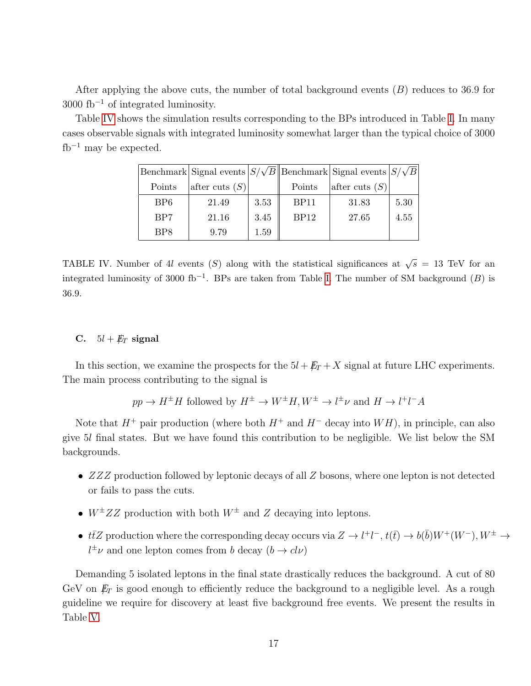After applying the above cuts, the number of total background events  $(B)$  reduces to 36.9 for  $3000$  fb<sup>-1</sup> of integrated luminosity.

Table [IV](#page-16-0) shows the simulation results corresponding to the BPs introduced in Table [I.](#page-13-0) In many cases observable signals with integrated luminosity somewhat larger than the typical choice of 3000  $fb^{-1}$  may be expected.

|                             | Benchmark Signal events $ S/\sqrt{B}  $ Benchmark Signal events $ S/\sqrt{B}  $ |      |                  |                  |      |
|-----------------------------|---------------------------------------------------------------------------------|------|------------------|------------------|------|
| Points                      | after cuts $(S)$                                                                |      | Points           | after cuts $(S)$ |      |
| B <sub>P6</sub>             | 21.49                                                                           | 3.53 | BP <sub>11</sub> | 31.83            | 5.30 |
| B <sub>P7</sub>             | 21.16                                                                           | 3.45 | BP12             | 27.65            | 4.55 |
| B <sub>P</sub> <sup>8</sup> | 9.79                                                                            | 1.59 |                  |                  |      |

<span id="page-16-0"></span>TABLE IV. Number of 4l events (S) along with the statistical significances at  $\sqrt{s} = 13$  TeV for an integrated luminosity of 3000 fb<sup>-1</sup>. BPs are taken from Table [I.](#page-13-0) The number of SM background  $(B)$  is 36.9.

# C.  $5l + E_T$  signal

In this section, we examine the prospects for the  $5l + \cancel{E_T} + X$  signal at future LHC experiments. The main process contributing to the signal is

$$
pp \to H^{\pm}H
$$
 followed by  $H^{\pm} \to W^{\pm}H$ ,  $W^{\pm} \to l^{\pm}\nu$  and  $H \to l^+l^-A$ 

Note that  $H^+$  pair production (where both  $H^+$  and  $H^-$  decay into  $WH$ ), in principle, can also give 5l final states. But we have found this contribution to be negligible. We list below the SM backgrounds.

- ZZZ production followed by leptonic decays of all Z bosons, where one lepton is not detected or fails to pass the cuts.
- $W^{\pm}ZZ$  production with both  $W^{\pm}$  and Z decaying into leptons.
- $t\bar{t}Z$  production where the corresponding decay occurs via  $Z \to l^+l^-$ ,  $t(\bar{t}) \to b(\bar{b})W^+(W^-)$ ,  $W^{\pm} \to$  $l^{\pm} \nu$  and one lepton comes from b decay  $(b \to c l \nu)$

Demanding 5 isolated leptons in the final state drastically reduces the background. A cut of 80 GeV on  $E_T$  is good enough to efficiently reduce the background to a negligible level. As a rough guideline we require for discovery at least five background free events. We present the results in Table [V.](#page-17-0)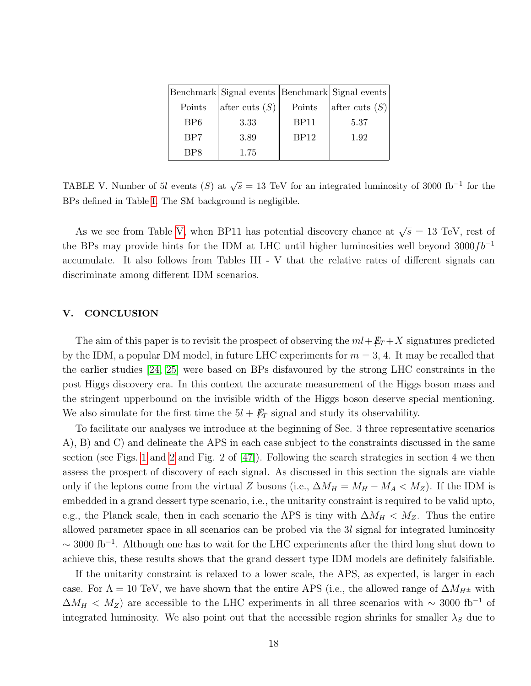|                 | Benchmark Signal events Benchmark Signal events |             |                  |
|-----------------|-------------------------------------------------|-------------|------------------|
| Points          | after cuts $(S)$                                | Points      | after cuts $(S)$ |
| B <sub>P6</sub> | 3.33                                            | <b>BP11</b> | 5.37             |
| B <sub>P7</sub> | 3.89                                            | BP12        | 1.92             |
| BP8             | 1.75                                            |             |                  |

<span id="page-17-0"></span>TABLE V. Number of 5l events (S) at  $\sqrt{s} = 13$  TeV for an integrated luminosity of 3000 fb<sup>-1</sup> for the BPs defined in Table [I.](#page-13-0) The SM background is negligible.

As we see from Table [V,](#page-17-0) when BP11 has potential discovery chance at  $\sqrt{s} = 13$  TeV, rest of the BPs may provide hints for the IDM at LHC until higher luminosities well beyond 3000 $fb^{-1}$ accumulate. It also follows from Tables III - V that the relative rates of different signals can discriminate among different IDM scenarios.

## V. CONCLUSION

The aim of this paper is to revisit the prospect of observing the  $ml + \cancel{E_T} + X$  signatures predicted by the IDM, a popular DM model, in future LHC experiments for  $m = 3, 4$ . It may be recalled that the earlier studies [\[24,](#page-19-3) [25\]](#page-19-4) were based on BPs disfavoured by the strong LHC constraints in the post Higgs discovery era. In this context the accurate measurement of the Higgs boson mass and the stringent upperbound on the invisible width of the Higgs boson deserve special mentioning. We also simulate for the first time the  $5l + \not{E}_T$  signal and study its observability.

To facilitate our analyses we introduce at the beginning of Sec. 3 three representative scenarios A), B) and C) and delineate the APS in each case subject to the constraints discussed in the same section (see Figs. [1](#page-7-0) and [2](#page-8-0) and Fig. 2 of  $[47]$ ). Following the search strategies in section 4 we then assess the prospect of discovery of each signal. As discussed in this section the signals are viable only if the leptons come from the virtual Z bosons (i.e.,  $\Delta M_H = M_H - M_A < M_Z$ ). If the IDM is embedded in a grand dessert type scenario, i.e., the unitarity constraint is required to be valid upto, e.g., the Planck scale, then in each scenario the APS is tiny with  $\Delta M_H < M_Z$ . Thus the entire allowed parameter space in all scenarios can be probed via the 3l signal for integrated luminosity  $\sim$  3000 fb<sup>-1</sup>. Although one has to wait for the LHC experiments after the third long shut down to achieve this, these results shows that the grand dessert type IDM models are definitely falsifiable.

If the unitarity constraint is relaxed to a lower scale, the APS, as expected, is larger in each case. For  $\Lambda = 10$  TeV, we have shown that the entire APS (i.e., the allowed range of  $\Delta M_{H^{\pm}}$  with  $\Delta M_H < M_Z$ ) are accessible to the LHC experiments in all three scenarios with ~ 3000 fb<sup>-1</sup> of integrated luminosity. We also point out that the accessible region shrinks for smaller  $\lambda_S$  due to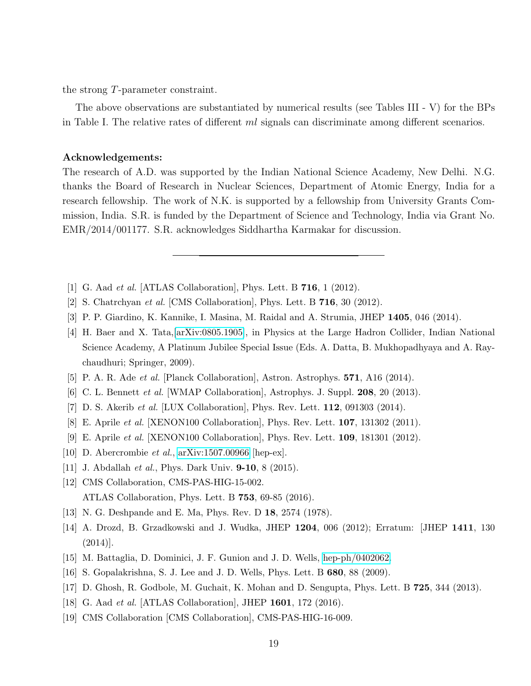the strong T-parameter constraint.

The above observations are substantiated by numerical results (see Tables III - V) for the BPs in Table I. The relative rates of different  $ml$  signals can discriminate among different scenarios.

## Acknowledgements:

The research of A.D. was supported by the Indian National Science Academy, New Delhi. N.G. thanks the Board of Research in Nuclear Sciences, Department of Atomic Energy, India for a research fellowship. The work of N.K. is supported by a fellowship from University Grants Commission, India. S.R. is funded by the Department of Science and Technology, India via Grant No. EMR/2014/001177. S.R. acknowledges Siddhartha Karmakar for discussion.

- <span id="page-18-1"></span><span id="page-18-0"></span>[1] G. Aad et al. [ATLAS Collaboration], Phys. Lett. B 716, 1 (2012).
- <span id="page-18-2"></span>[2] S. Chatrchyan et al. [CMS Collaboration], Phys. Lett. B 716, 30 (2012).
- <span id="page-18-3"></span>[3] P. P. Giardino, K. Kannike, I. Masina, M. Raidal and A. Strumia, JHEP 1405, 046 (2014).
- [4] H. Baer and X. Tata,[\[arXiv:0805.1905\]](http://arxiv.org/abs/0805.1905), in Physics at the Large Hadron Collider, Indian National Science Academy, A Platinum Jubilee Special Issue (Eds. A. Datta, B. Mukhopadhyaya and A. Raychaudhuri; Springer, 2009).
- <span id="page-18-5"></span><span id="page-18-4"></span>[5] P. A. R. Ade et al. [Planck Collaboration], Astron. Astrophys. 571, A16 (2014).
- <span id="page-18-6"></span>[6] C. L. Bennett et al. [WMAP Collaboration], Astrophys. J. Suppl. 208, 20 (2013).
- [7] D. S. Akerib et al. [LUX Collaboration], Phys. Rev. Lett. 112, 091303 (2014).
- <span id="page-18-7"></span>[8] E. Aprile et al. [XENON100 Collaboration], Phys. Rev. Lett. 107, 131302 (2011).
- [9] E. Aprile et al. [XENON100 Collaboration], Phys. Rev. Lett. 109, 181301 (2012).
- <span id="page-18-9"></span><span id="page-18-8"></span>[10] D. Abercrombie et al., [arXiv:1507.00966](http://arxiv.org/abs/1507.00966) [hep-ex].
- <span id="page-18-10"></span>[11] J. Abdallah *et al.*, Phys. Dark Univ. **9-10**, 8 (2015).
- [12] CMS Collaboration, CMS-PAS-HIG-15-002. ATLAS Collaboration, Phys. Lett. B 753, 69-85 (2016).
- <span id="page-18-12"></span><span id="page-18-11"></span>[13] N. G. Deshpande and E. Ma, Phys. Rev. D 18, 2574 (1978).
- [14] A. Drozd, B. Grzadkowski and J. Wudka, JHEP 1204, 006 (2012); Erratum: [JHEP 1411, 130  $(2014)$ .
- [15] M. Battaglia, D. Dominici, J. F. Gunion and J. D. Wells, [hep-ph/0402062.](http://arxiv.org/abs/hep-ph/0402062)
- <span id="page-18-13"></span>[16] S. Gopalakrishna, S. J. Lee and J. D. Wells, Phys. Lett. B 680, 88 (2009).
- <span id="page-18-14"></span>[17] D. Ghosh, R. Godbole, M. Guchait, K. Mohan and D. Sengupta, Phys. Lett. B 725, 344 (2013).
- [18] G. Aad et al. [ATLAS Collaboration], JHEP 1601, 172 (2016).
- [19] CMS Collaboration [CMS Collaboration], CMS-PAS-HIG-16-009.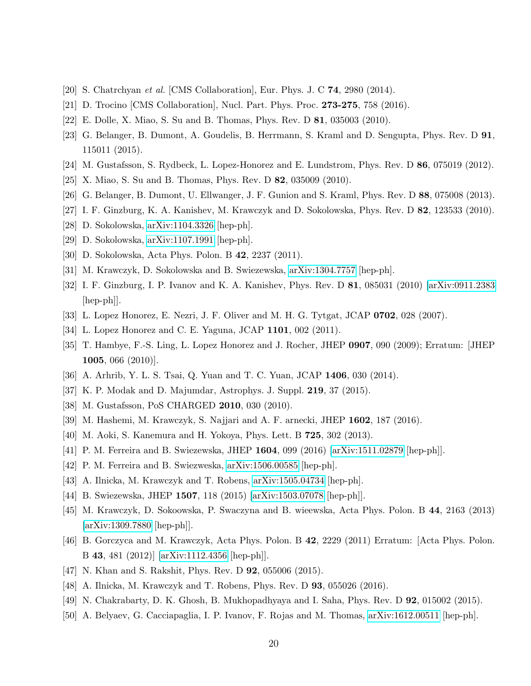- <span id="page-19-11"></span><span id="page-19-0"></span>[20] S. Chatrchyan et al. [CMS Collaboration], Eur. Phys. J. C 74, 2980 (2014).
- <span id="page-19-1"></span>[21] D. Trocino [CMS Collaboration], Nucl. Part. Phys. Proc. 273-275, 758 (2016).
- <span id="page-19-2"></span>[22] E. Dolle, X. Miao, S. Su and B. Thomas, Phys. Rev. D 81, 035003 (2010).
- [23] G. Belanger, B. Dumont, A. Goudelis, B. Herrmann, S. Kraml and D. Sengupta, Phys. Rev. D 91, 115011 (2015).
- <span id="page-19-4"></span><span id="page-19-3"></span>[24] M. Gustafsson, S. Rydbeck, L. Lopez-Honorez and E. Lundstrom, Phys. Rev. D 86, 075019 (2012).
- <span id="page-19-5"></span>[25] X. Miao, S. Su and B. Thomas, Phys. Rev. D 82, 035009 (2010).
- <span id="page-19-6"></span>[26] G. Belanger, B. Dumont, U. Ellwanger, J. F. Gunion and S. Kraml, Phys. Rev. D 88, 075008 (2013).
- [27] I. F. Ginzburg, K. A. Kanishev, M. Krawczyk and D. Sokolowska, Phys. Rev. D 82, 123533 (2010).
- [28] D. Sokolowska, [arXiv:1104.3326](http://arxiv.org/abs/1104.3326) [hep-ph].
- [29] D. Sokolowska, [arXiv:1107.1991](http://arxiv.org/abs/1107.1991) [hep-ph].
- [30] D. Sokolowska, Acta Phys. Polon. B 42, 2237 (2011).
- <span id="page-19-7"></span>[31] M. Krawczyk, D. Sokolowska and B. Swiezewska, [arXiv:1304.7757](http://arxiv.org/abs/1304.7757) [hep-ph].
- [32] I. F. Ginzburg, I. P. Ivanov and K. A. Kanishev, Phys. Rev. D 81, 085031 (2010) [\[arXiv:0911.2383](http://arxiv.org/abs/0911.2383) [hep-ph]].
- <span id="page-19-8"></span>[33] L. Lopez Honorez, E. Nezri, J. F. Oliver and M. H. G. Tytgat, JCAP 0702, 028 (2007).
- [34] L. Lopez Honorez and C. E. Yaguna, JCAP 1101, 002 (2011).
- [35] T. Hambye, F.-S. Ling, L. Lopez Honorez and J. Rocher, JHEP 0907, 090 (2009); Erratum: [JHEP **1005**, 066  $(2010)$ .
- <span id="page-19-12"></span>[36] A. Arhrib, Y. L. S. Tsai, Q. Yuan and T. C. Yuan, JCAP 1406, 030 (2014).
- [37] K. P. Modak and D. Majumdar, Astrophys. J. Suppl. 219, 37 (2015).
- [38] M. Gustafsson, PoS CHARGED **2010**, 030 (2010).
- [39] M. Hashemi, M. Krawczyk, S. Najjari and A. F. arnecki, JHEP 1602, 187 (2016).
- [40] M. Aoki, S. Kanemura and H. Yokoya, Phys. Lett. B 725, 302 (2013).
- [41] P. M. Ferreira and B. Swiezewska, JHEP 1604, 099 (2016) [\[arXiv:1511.02879](http://arxiv.org/abs/1511.02879) [hep-ph]].
- [42] P. M. Ferreira and B. Swiezweska, [arXiv:1506.00585](http://arxiv.org/abs/1506.00585) [hep-ph].
- [43] A. Ilnicka, M. Krawczyk and T. Robens, [arXiv:1505.04734](http://arxiv.org/abs/1505.04734) [hep-ph].
- [44] B. Swiezewska, JHEP 1507, 118 (2015) [\[arXiv:1503.07078](http://arxiv.org/abs/1503.07078) [hep-ph]].
- [45] M. Krawczyk, D. Sokoowska, P. Swaczyna and B. wieewska, Acta Phys. Polon. B 44, 2163 (2013) [\[arXiv:1309.7880](http://arxiv.org/abs/1309.7880) [hep-ph]].
- [46] B. Gorczyca and M. Krawczyk, Acta Phys. Polon. B 42, 2229 (2011) Erratum: [Acta Phys. Polon. B 43, 481 (2012)] [\[arXiv:1112.4356](http://arxiv.org/abs/1112.4356) [hep-ph]].
- <span id="page-19-10"></span>[47] N. Khan and S. Rakshit, Phys. Rev. D **92**, 055006 (2015).
- [48] A. Ilnicka, M. Krawczyk and T. Robens, Phys. Rev. D 93, 055026 (2016).
- <span id="page-19-9"></span>[49] N. Chakrabarty, D. K. Ghosh, B. Mukhopadhyaya and I. Saha, Phys. Rev. D 92, 015002 (2015).
- [50] A. Belyaev, G. Cacciapaglia, I. P. Ivanov, F. Rojas and M. Thomas, [arXiv:1612.00511](http://arxiv.org/abs/1612.00511) [hep-ph].